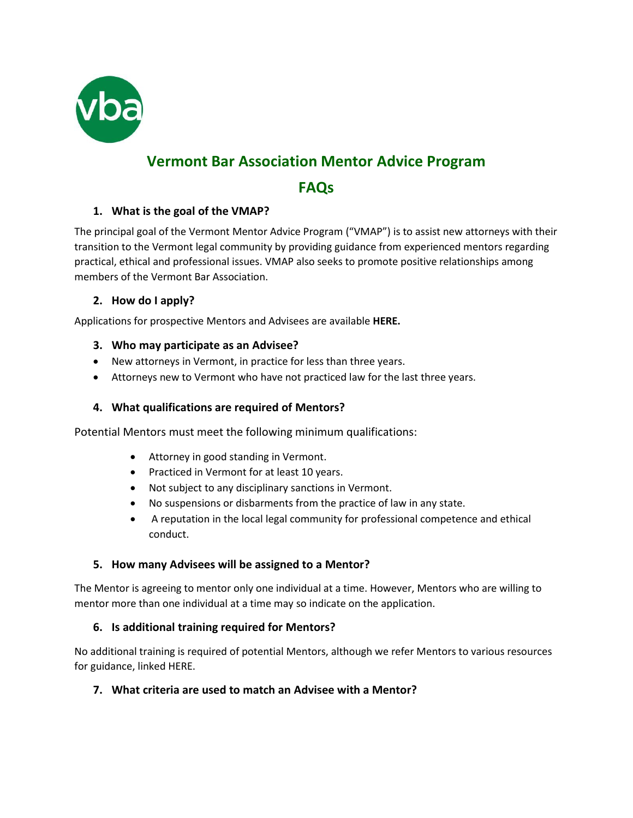

# **Vermont Bar Association Mentor Advice Program**

## **FAQs**

## **1. What is the goal of the VMAP?**

The principal goal of the Vermont Mentor Advice Program ("VMAP") is to assist new attorneys with their transition to the Vermont legal community by providing guidance from experienced mentors regarding practical, ethical and professional issues. VMAP also seeks to promote positive relationships among members of the Vermont Bar Association.

#### **2. How do I apply?**

Applications for prospective Mentors and Advisees are available **HERE.**

#### **3. Who may participate as an Advisee?**

- New attorneys in Vermont, in practice for less than three years.
- Attorneys new to Vermont who have not practiced law for the last three years.

## **4. What qualifications are required of Mentors?**

Potential Mentors must meet the following minimum qualifications:

- Attorney in good standing in Vermont.
- Practiced in Vermont for at least 10 years.
- Not subject to any disciplinary sanctions in Vermont.
- No suspensions or disbarments from the practice of law in any state.
- A reputation in the local legal community for professional competence and ethical conduct.

#### **5. How many Advisees will be assigned to a Mentor?**

The Mentor is agreeing to mentor only one individual at a time. However, Mentors who are willing to mentor more than one individual at a time may so indicate on the application.

#### **6. Is additional training required for Mentors?**

No additional training is required of potential Mentors, although we refer Mentors to various resources for guidance, linked HERE.

## **7. What criteria are used to match an Advisee with a Mentor?**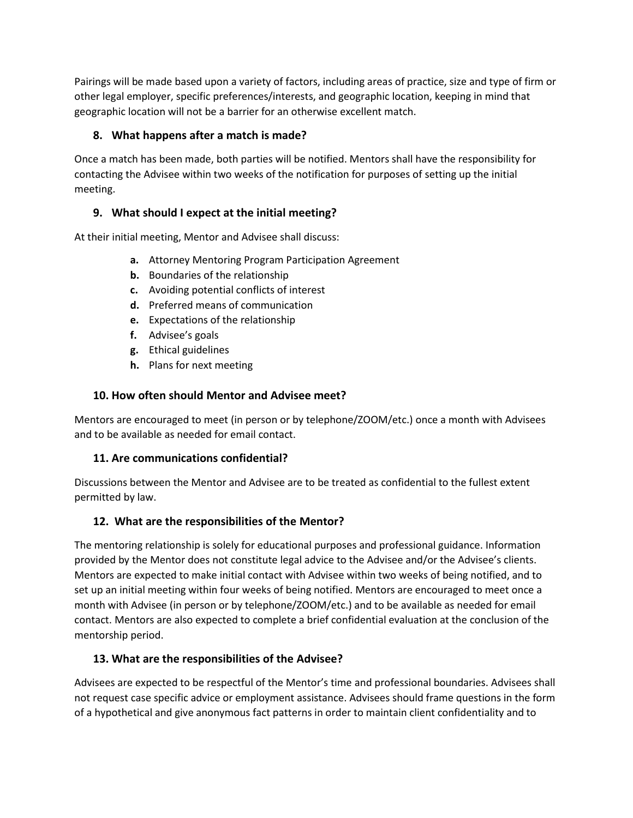Pairings will be made based upon a variety of factors, including areas of practice, size and type of firm or other legal employer, specific preferences/interests, and geographic location, keeping in mind that geographic location will not be a barrier for an otherwise excellent match.

## **8. What happens after a match is made?**

Once a match has been made, both parties will be notified. Mentors shall have the responsibility for contacting the Advisee within two weeks of the notification for purposes of setting up the initial meeting.

## **9. What should I expect at the initial meeting?**

At their initial meeting, Mentor and Advisee shall discuss:

- **a.** Attorney Mentoring Program Participation Agreement
- **b.** Boundaries of the relationship
- **c.** Avoiding potential conflicts of interest
- **d.** Preferred means of communication
- **e.** Expectations of the relationship
- **f.** Advisee's goals
- **g.** Ethical guidelines
- **h.** Plans for next meeting

## **10. How often should Mentor and Advisee meet?**

Mentors are encouraged to meet (in person or by telephone/ZOOM/etc.) once a month with Advisees and to be available as needed for email contact.

## **11. Are communications confidential?**

Discussions between the Mentor and Advisee are to be treated as confidential to the fullest extent permitted by law.

## **12. What are the responsibilities of the Mentor?**

The mentoring relationship is solely for educational purposes and professional guidance. Information provided by the Mentor does not constitute legal advice to the Advisee and/or the Advisee's clients. Mentors are expected to make initial contact with Advisee within two weeks of being notified, and to set up an initial meeting within four weeks of being notified. Mentors are encouraged to meet once a month with Advisee (in person or by telephone/ZOOM/etc.) and to be available as needed for email contact. Mentors are also expected to complete a brief confidential evaluation at the conclusion of the mentorship period.

## **13. What are the responsibilities of the Advisee?**

Advisees are expected to be respectful of the Mentor's time and professional boundaries. Advisees shall not request case specific advice or employment assistance. Advisees should frame questions in the form of a hypothetical and give anonymous fact patterns in order to maintain client confidentiality and to